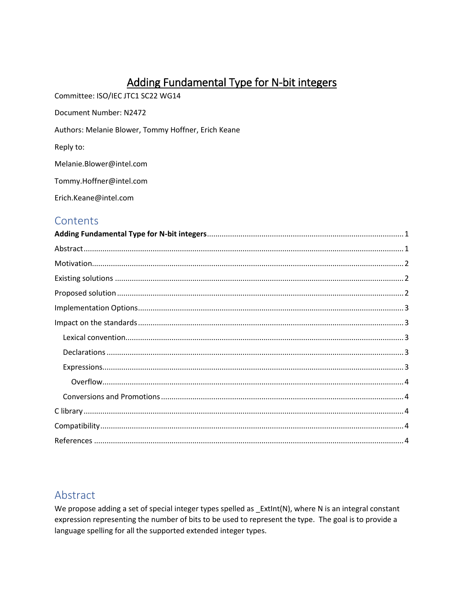# Adding Fundamental Type for N-bit integers

<span id="page-0-0"></span>Committee: ISO/IEC JTC1 SC22 WG14

Document Number: N2472

Authors: Melanie Blower, Tommy Hoffner, Erich Keane

Reply to:

Melanie.Blower@intel.com

Tommy.Hoffner@intel.com

Erich.Keane@intel.com

### Contents

## <span id="page-0-1"></span>Abstract

We propose adding a set of special integer types spelled as \_ExtInt(N), where N is an integral constant expression representing the number of bits to be used to represent the type. The goal is to provide a language spelling for all the supported extended integer types.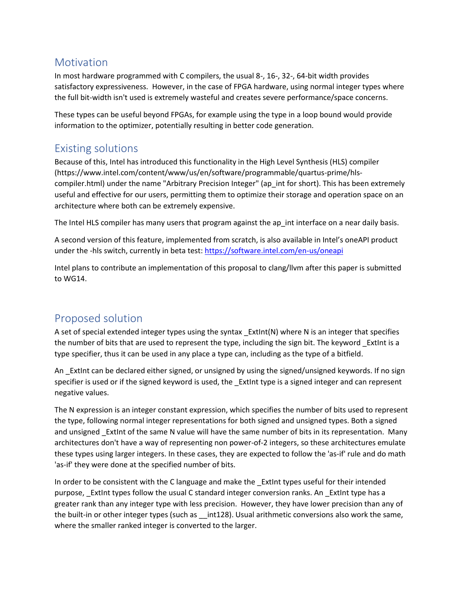## <span id="page-1-0"></span>**Motivation**

In most hardware programmed with C compilers, the usual 8-, 16-, 32-, 64-bit width provides satisfactory expressiveness. However, in the case of FPGA hardware, using normal integer types where the full bit-width isn't used is extremely wasteful and creates severe performance/space concerns.

These types can be useful beyond FPGAs, for example using the type in a loop bound would provide information to the optimizer, potentially resulting in better code generation.

### <span id="page-1-1"></span>Existing solutions

Because of this, Intel has introduced this functionality in the High Level Synthesis (HLS) compiler (https://www.intel.com/content/www/us/en/software/programmable/quartus-prime/hlscompiler.html) under the name "Arbitrary Precision Integer" (ap\_int for short). This has been extremely useful and effective for our users, permitting them to optimize their storage and operation space on an architecture where both can be extremely expensive.

The Intel HLS compiler has many users that program against the ap\_int interface on a near daily basis.

A second version of this feature, implemented from scratch, is also available in Intel's oneAPI product under the -hls switch, currently in beta test:<https://software.intel.com/en-us/oneapi>

Intel plans to contribute an implementation of this proposal to clang/llvm after this paper is submitted to WG14.

# <span id="page-1-2"></span>Proposed solution

A set of special extended integer types using the syntax \_ExtInt(N) where N is an integer that specifies the number of bits that are used to represent the type, including the sign bit. The keyword \_ExtInt is a type specifier, thus it can be used in any place a type can, including as the type of a bitfield.

An ExtInt can be declared either signed, or unsigned by using the signed/unsigned keywords. If no sign specifier is used or if the signed keyword is used, the \_ExtInt type is a signed integer and can represent negative values.

The N expression is an integer constant expression, which specifies the number of bits used to represent the type, following normal integer representations for both signed and unsigned types. Both a signed and unsigned ExtInt of the same N value will have the same number of bits in its representation. Many architectures don't have a way of representing non power-of-2 integers, so these architectures emulate these types using larger integers. In these cases, they are expected to follow the 'as-if' rule and do math 'as-if' they were done at the specified number of bits.

In order to be consistent with the C language and make the \_ExtInt types useful for their intended purpose, \_ExtInt types follow the usual C standard integer conversion ranks. An \_ExtInt type has a greater rank than any integer type with less precision. However, they have lower precision than any of the built-in or other integer types (such as \_\_int128). Usual arithmetic conversions also work the same, where the smaller ranked integer is converted to the larger.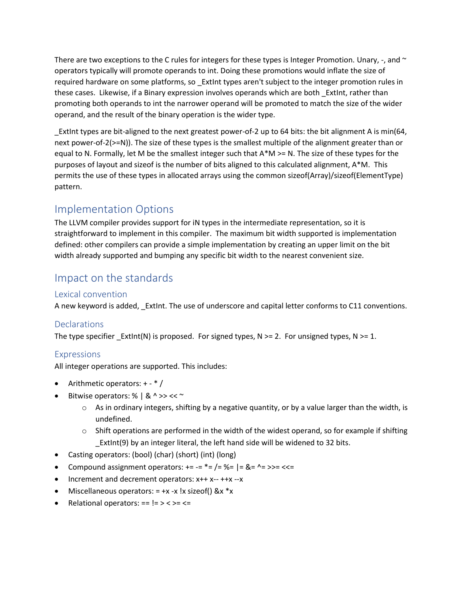There are two exceptions to the C rules for integers for these types is Integer Promotion. Unary,  $-$ , and  $\sim$ operators typically will promote operands to int. Doing these promotions would inflate the size of required hardware on some platforms, so ExtInt types aren't subject to the integer promotion rules in these cases. Likewise, if a Binary expression involves operands which are both \_ExtInt, rather than promoting both operands to int the narrower operand will be promoted to match the size of the wider operand, and the result of the binary operation is the wider type.

\_ExtInt types are bit-aligned to the next greatest power-of-2 up to 64 bits: the bit alignment A is min(64, next power-of-2(>=N)). The size of these types is the smallest multiple of the alignment greater than or equal to N. Formally, let M be the smallest integer such that A\*M >= N. The size of these types for the purposes of layout and sizeof is the number of bits aligned to this calculated alignment, A\*M. This permits the use of these types in allocated arrays using the common sizeof(Array)/sizeof(ElementType) pattern.

# <span id="page-2-0"></span>Implementation Options

The LLVM compiler provides support for iN types in the intermediate representation, so it is straightforward to implement in this compiler. The maximum bit width supported is implementation defined: other compilers can provide a simple implementation by creating an upper limit on the bit width already supported and bumping any specific bit width to the nearest convenient size.

## <span id="page-2-1"></span>Impact on the standards

#### <span id="page-2-2"></span>Lexical convention

A new keyword is added, ExtInt. The use of underscore and capital letter conforms to C11 conventions.

#### <span id="page-2-3"></span>**Declarations**

The type specifier ExtInt(N) is proposed. For signed types,  $N \ge 2$ . For unsigned types,  $N \ge 1$ .

#### <span id="page-2-4"></span>Expressions

All integer operations are supported. This includes:

- Arithmetic operators: + \* /
- Bitwise operators: %  $| 8 \wedge \gg \ll \sim$ 
	- $\circ$  As in ordinary integers, shifting by a negative quantity, or by a value larger than the width, is undefined.
	- $\circ$  Shift operations are performed in the width of the widest operand, so for example if shifting \_ExtInt(9) by an integer literal, the left hand side will be widened to 32 bits.
- Casting operators: (bool) (char) (short) (int) (long)
- Compound assignment operators:  $+= -2$   $* = /2$   $\% = |2 \&2 -2$
- Increment and decrement operators: x++ x-- ++x --x
- Miscellaneous operators:  $= +x -x$  !x sizeof() &x  $*x$
- Relational operators:  $== != > < ==$